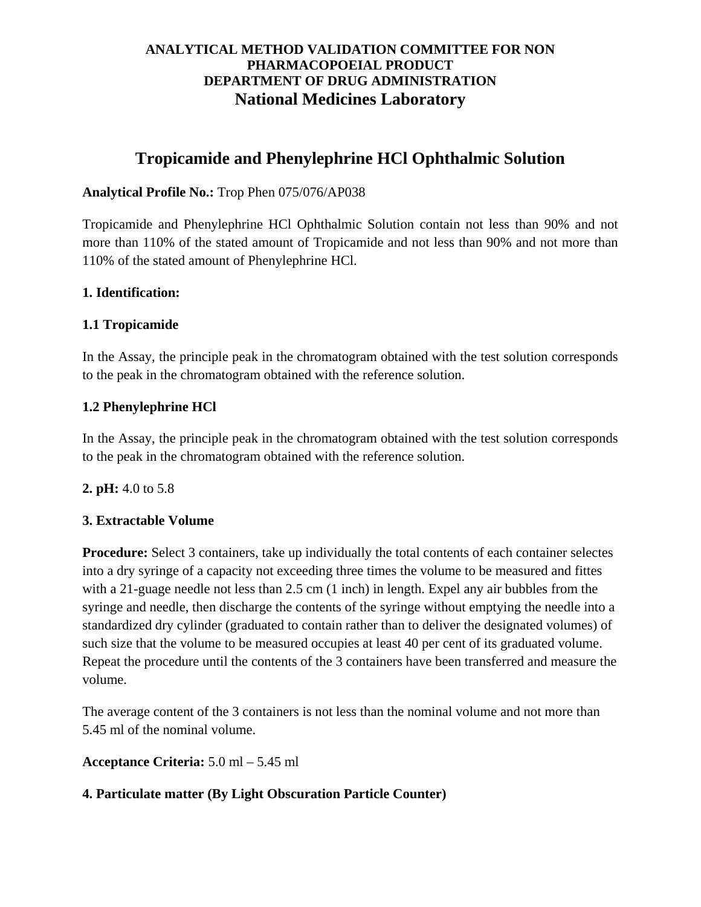# **ANALYTICAL METHOD VALIDATION COMMITTEE FOR NON PHARMACOPOEIAL PRODUCT DEPARTMENT OF DRUG ADMINISTRATION National Medicines Laboratory**

# **Tropicamide and Phenylephrine HCl Ophthalmic Solution**

# **Analytical Profile No.:** Trop Phen 075/076/AP038

Tropicamide and Phenylephrine HCl Ophthalmic Solution contain not less than 90% and not more than 110% of the stated amount of Tropicamide and not less than 90% and not more than 110% of the stated amount of Phenylephrine HCl.

## **1. Identification:**

## **1.1 Tropicamide**

In the Assay, the principle peak in the chromatogram obtained with the test solution corresponds to the peak in the chromatogram obtained with the reference solution.

## **1.2 Phenylephrine HCl**

In the Assay, the principle peak in the chromatogram obtained with the test solution corresponds to the peak in the chromatogram obtained with the reference solution.

### **2. pH:** 4.0 to 5.8

### **3. Extractable Volume**

**Procedure:** Select 3 containers, take up individually the total contents of each container selectes into a dry syringe of a capacity not exceeding three times the volume to be measured and fittes with a 21-guage needle not less than 2.5 cm (1 inch) in length. Expel any air bubbles from the syringe and needle, then discharge the contents of the syringe without emptying the needle into a standardized dry cylinder (graduated to contain rather than to deliver the designated volumes) of such size that the volume to be measured occupies at least 40 per cent of its graduated volume. Repeat the procedure until the contents of the 3 containers have been transferred and measure the volume.

The average content of the 3 containers is not less than the nominal volume and not more than 5.45 ml of the nominal volume.

**Acceptance Criteria:** 5.0 ml – 5.45 ml

### **4. Particulate matter (By Light Obscuration Particle Counter)**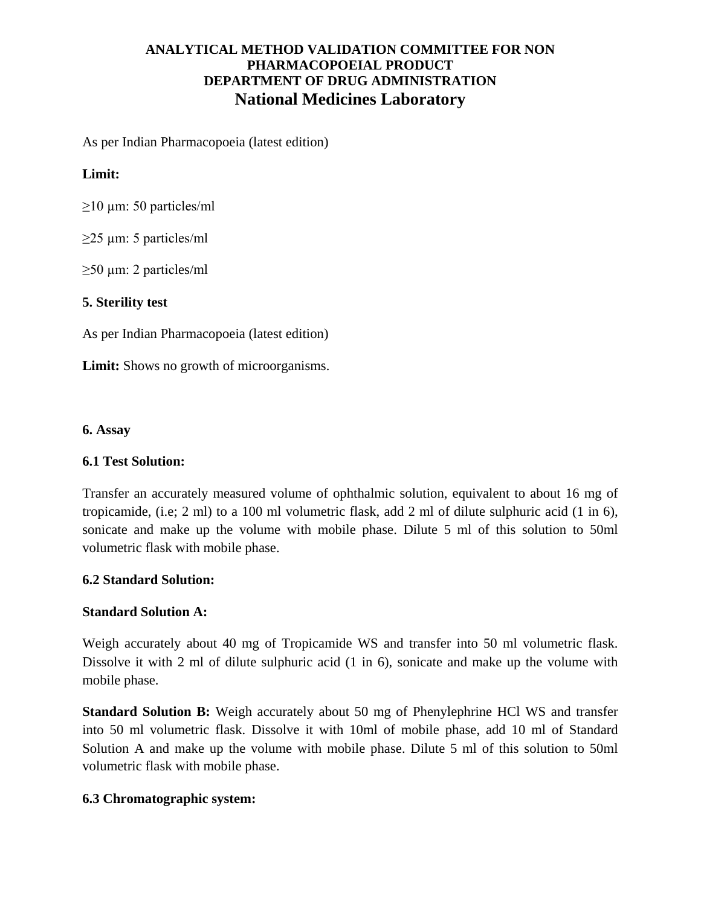# **ANALYTICAL METHOD VALIDATION COMMITTEE FOR NON PHARMACOPOEIAL PRODUCT DEPARTMENT OF DRUG ADMINISTRATION National Medicines Laboratory**

As per Indian Pharmacopoeia (latest edition)

#### **Limit:**

 $\geq$ 10 µm: 50 particles/ml

 $\geq$ 25 µm: 5 particles/ml

≥50 µm: 2 particles/ml

#### **5. Sterility test**

As per Indian Pharmacopoeia (latest edition)

**Limit:** Shows no growth of microorganisms.

#### **6. Assay**

#### **6.1 Test Solution:**

Transfer an accurately measured volume of ophthalmic solution, equivalent to about 16 mg of tropicamide, (i.e; 2 ml) to a 100 ml volumetric flask, add 2 ml of dilute sulphuric acid (1 in 6), sonicate and make up the volume with mobile phase. Dilute 5 ml of this solution to 50ml volumetric flask with mobile phase.

#### **6.2 Standard Solution:**

#### **Standard Solution A:**

Weigh accurately about 40 mg of Tropicamide WS and transfer into 50 ml volumetric flask. Dissolve it with 2 ml of dilute sulphuric acid (1 in 6), sonicate and make up the volume with mobile phase.

**Standard Solution B:** Weigh accurately about 50 mg of Phenylephrine HCl WS and transfer into 50 ml volumetric flask. Dissolve it with 10ml of mobile phase, add 10 ml of Standard Solution A and make up the volume with mobile phase. Dilute 5 ml of this solution to 50ml volumetric flask with mobile phase.

#### **6.3 Chromatographic system:**